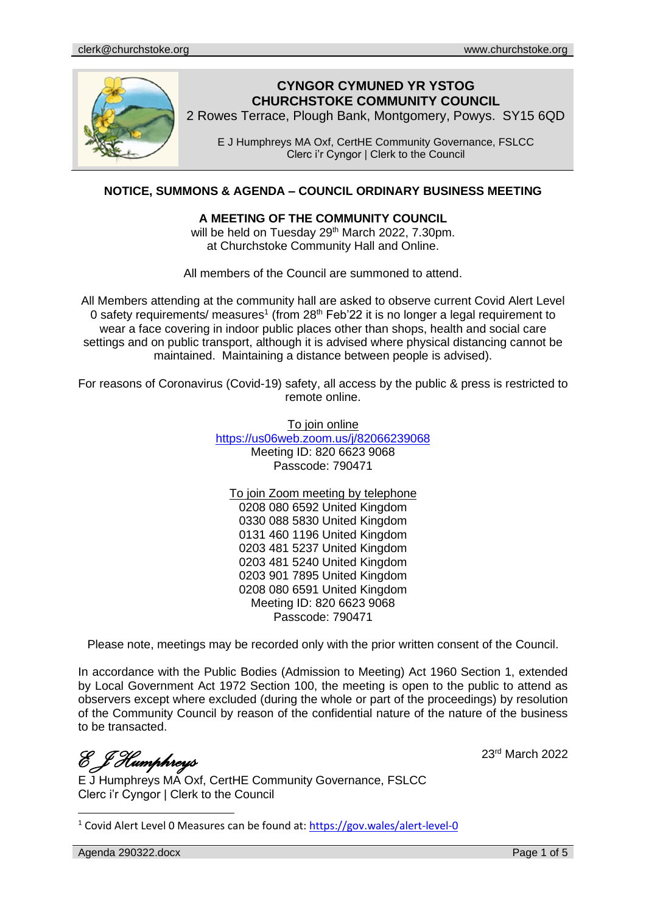

# **CYNGOR CYMUNED YR YSTOG CHURCHSTOKE COMMUNITY COUNCIL**

2 Rowes Terrace, Plough Bank, Montgomery, Powys. SY15 6QD

E J Humphreys MA Oxf, CertHE Community Governance, FSLCC Clerc i'r Cyngor | Clerk to the Council

## **NOTICE, SUMMONS & AGENDA – COUNCIL ORDINARY BUSINESS MEETING**

#### **A MEETING OF THE COMMUNITY COUNCIL**

will be held on Tuesday 29<sup>th</sup> March 2022, 7.30pm. at Churchstoke Community Hall and Online.

All members of the Council are summoned to attend.

All Members attending at the community hall are asked to observe current Covid Alert Level 0 safety requirements/ measures<sup>1</sup> (from 28<sup>th</sup> Feb'22 it is no longer a legal requirement to wear a face covering in indoor public places other than shops, health and social care settings and on public transport, although it is advised where physical distancing cannot be maintained. Maintaining a distance between people is advised).

For reasons of Coronavirus (Covid-19) safety, all access by the public & press is restricted to remote online.

To join online

<https://us06web.zoom.us/j/82066239068> Meeting ID: 820 6623 9068 Passcode: 790471

To join Zoom meeting by telephone

0208 080 6592 United Kingdom 0330 088 5830 United Kingdom 0131 460 1196 United Kingdom 0203 481 5237 United Kingdom 0203 481 5240 United Kingdom 0203 901 7895 United Kingdom 0208 080 6591 United Kingdom Meeting ID: 820 6623 9068 Passcode: 790471

Please note, meetings may be recorded only with the prior written consent of the Council.

In accordance with the Public Bodies (Admission to Meeting) Act 1960 Section 1, extended by Local Government Act 1972 Section 100, the meeting is open to the public to attend as observers except where excluded (during the whole or part of the proceedings) by resolution of the Community Council by reason of the confidential nature of the nature of the business to be transacted.

*E J Humphreys* 

23rd March 2022

E J Humphreys MA Oxf, CertHE Community Governance, FSLCC Clerc i'r Cyngor | Clerk to the Council

<sup>1</sup> Covid Alert Level 0 Measures can be found at:<https://gov.wales/alert-level-0>

Agenda 290322.docx **Page 1 of 5**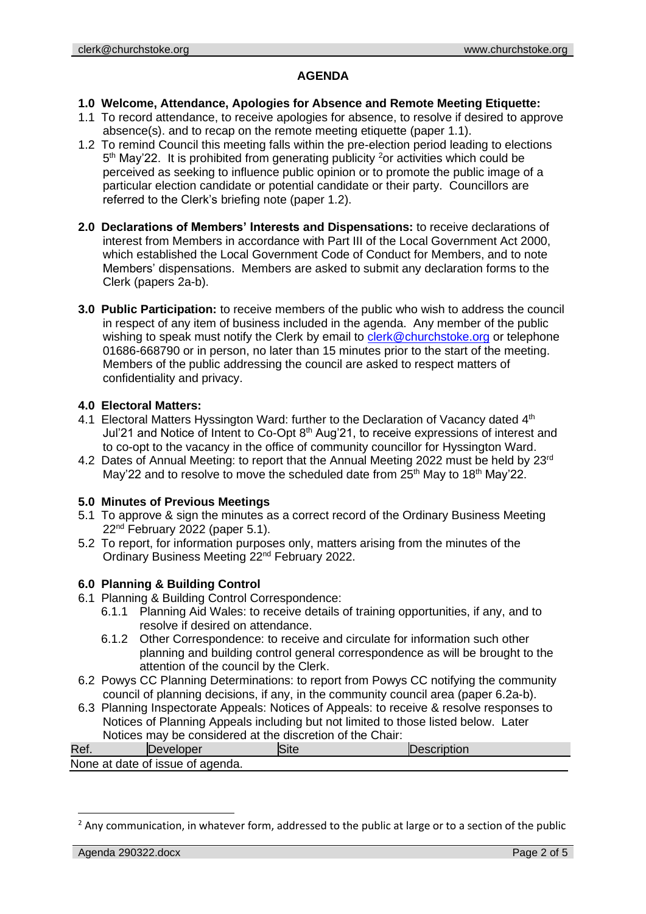#### **AGENDA**

#### **1.0 Welcome, Attendance, Apologies for Absence and Remote Meeting Etiquette:**

- 1.1 To record attendance, to receive apologies for absence, to resolve if desired to approve absence(s). and to recap on the remote meeting etiquette (paper 1.1).
- 1.2 To remind Council this meeting falls within the pre-election period leading to elections 5<sup>th</sup> May'22. It is prohibited from generating publicity <sup>2</sup>or activities which could be perceived as seeking to influence public opinion or to promote the public image of a particular election candidate or potential candidate or their party. Councillors are referred to the Clerk's briefing note (paper 1.2).
- **2.0 Declarations of Members' Interests and Dispensations:** to receive declarations of interest from Members in accordance with Part III of the Local Government Act 2000, which established the Local Government Code of Conduct for Members, and to note Members' dispensations. Members are asked to submit any declaration forms to the Clerk (papers 2a-b).
- **3.0 Public Participation:** to receive members of the public who wish to address the council in respect of any item of business included in the agenda. Any member of the public wishing to speak must notify the Clerk by email to [clerk@churchstoke.org](mailto:clerk@churchstoke.org) or telephone 01686-668790 or in person, no later than 15 minutes prior to the start of the meeting. Members of the public addressing the council are asked to respect matters of confidentiality and privacy.

### **4.0 Electoral Matters:**

- 4.1 Electoral Matters Hyssington Ward: further to the Declaration of Vacancy dated 4<sup>th</sup> Jul'21 and Notice of Intent to Co-Opt 8<sup>th</sup> Aug'21, to receive expressions of interest and to co-opt to the vacancy in the office of community councillor for Hyssington Ward.
- 4.2 Dates of Annual Meeting: to report that the Annual Meeting 2022 must be held by 23<sup>rd</sup> May'22 and to resolve to move the scheduled date from 25<sup>th</sup> May to 18<sup>th</sup> May'22.

#### **5.0 Minutes of Previous Meetings**

- 5.1 To approve & sign the minutes as a correct record of the Ordinary Business Meeting 22nd February 2022 (paper 5.1).
- 5.2 To report, for information purposes only, matters arising from the minutes of the Ordinary Business Meeting 22nd February 2022.

# **6.0 Planning & Building Control**

- 6.1 Planning & Building Control Correspondence:
	- 6.1.1 Planning Aid Wales: to receive details of training opportunities, if any, and to resolve if desired on attendance.
	- 6.1.2 Other Correspondence: to receive and circulate for information such other planning and building control general correspondence as will be brought to the attention of the council by the Clerk.
- 6.2 Powys CC Planning Determinations: to report from Powys CC notifying the community council of planning decisions, if any, in the community council area (paper 6.2a-b).
- 6.3 Planning Inspectorate Appeals: Notices of Appeals: to receive & resolve responses to Notices of Planning Appeals including but not limited to those listed below. Later Notices may be considered at the discretion of the Chair:

| Ref.                             | Jeveloper |  | <b>IDescription</b> |  |
|----------------------------------|-----------|--|---------------------|--|
| None at date of issue of agenda. |           |  |                     |  |

 $<sup>2</sup>$  Any communication, in whatever form, addressed to the public at large or to a section of the public</sup>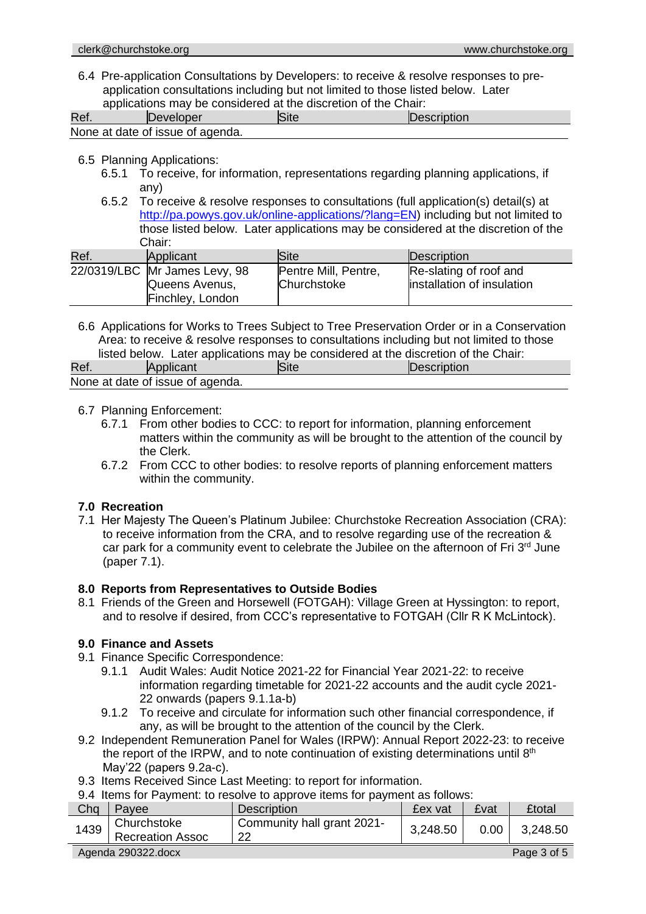6.4 Pre-application Consultations by Developers: to receive & resolve responses to preapplication consultations including but not limited to those listed below. Later applications may be considered at the discretion of the Chair:

| Ref. | Developer                        | Site | Description |
|------|----------------------------------|------|-------------|
|      | None at date of issue of agenda. |      |             |

- 6.5 Planning Applications:
	- 6.5.1 To receive, for information, representations regarding planning applications, if any)
	- 6.5.2 To receive & resolve responses to consultations (full application(s) detail(s) at http://pa.powys.gov.uk/online-applications/?lang=EN) including but not limited to those listed below. Later applications may be considered at the discretion of the Chair:

| Ref. | Applicant                     | <b>Site</b>          | Description                |
|------|-------------------------------|----------------------|----------------------------|
|      | 22/0319/LBC Mr James Levy, 98 | Pentre Mill, Pentre, | Re-slating of roof and     |
|      | Queens Avenus,                | Churchstoke          | installation of insulation |
|      | Finchley, London              |                      |                            |

6.6 Applications for Works to Trees Subject to Tree Preservation Order or in a Conservation Area: to receive & resolve responses to consultations including but not limited to those listed below. Later applications may be considered at the discretion of the Chair:

| Ref.                             | <b>Applicant</b> |  | <b>Description</b> |  |  |
|----------------------------------|------------------|--|--------------------|--|--|
| None at date of issue of agenda. |                  |  |                    |  |  |

#### 6.7 Planning Enforcement:

- 6.7.1 From other bodies to CCC: to report for information, planning enforcement matters within the community as will be brought to the attention of the council by the Clerk.
- 6.7.2 From CCC to other bodies: to resolve reports of planning enforcement matters within the community.

#### **7.0 Recreation**

7.1 Her Majesty The Queen's Platinum Jubilee: Churchstoke Recreation Association (CRA): to receive information from the CRA, and to resolve regarding use of the recreation & car park for a community event to celebrate the Jubilee on the afternoon of Fri 3<sup>rd</sup> June (paper 7.1).

#### **8.0 Reports from Representatives to Outside Bodies**

8.1 Friends of the Green and Horsewell (FOTGAH): Village Green at Hyssington: to report, and to resolve if desired, from CCC's representative to FOTGAH (Cllr R K McLintock).

#### **9.0 Finance and Assets**

- 9.1 Finance Specific Correspondence:
	- 9.1.1 Audit Wales: Audit Notice 2021-22 for Financial Year 2021-22: to receive information regarding timetable for 2021-22 accounts and the audit cycle 2021- 22 onwards (papers 9.1.1a-b)
	- 9.1.2 To receive and circulate for information such other financial correspondence, if any, as will be brought to the attention of the council by the Clerk.
- 9.2 Independent Remuneration Panel for Wales (IRPW): Annual Report 2022-23: to receive the report of the IRPW, and to note continuation of existing determinations until  $8<sup>th</sup>$ May'22 (papers 9.2a-c).
- 9.3 Items Received Since Last Meeting: to report for information.

9.4 Items for Payment: to resolve to approve items for payment as follows:

| 0. Thomas Tomonto, to recover to approve home for payment as follows. |                                        |                                  |          |                   |               |
|-----------------------------------------------------------------------|----------------------------------------|----------------------------------|----------|-------------------|---------------|
| Cha                                                                   | Pavee                                  | <b>Description</b>               | £ex vat  | £vat              | <b>£total</b> |
|                                                                       | Churchstoke<br>1439   Recreation Assoc | Community hall grant 2021-<br>22 | 3,248.50 | 0.00 <sub>1</sub> | 3,248.50      |
| Page 3 of 5<br>Agenda 290322.docx                                     |                                        |                                  |          |                   |               |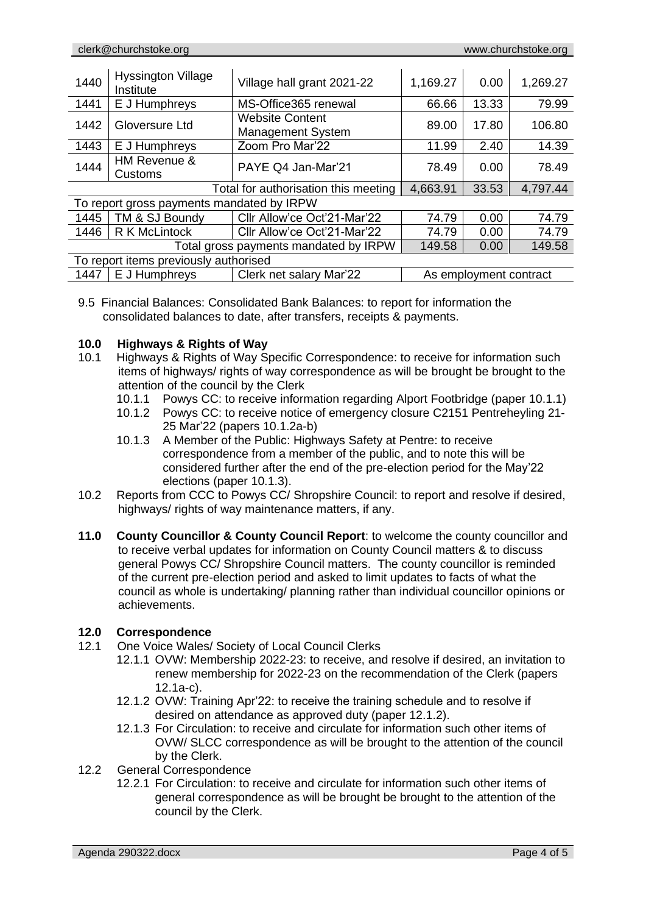| 1440                                      | <b>Hyssington Village</b><br>Institute | Village hall grant 2021-22                         | 1,169.27               | 0.00  | 1,269.27 |
|-------------------------------------------|----------------------------------------|----------------------------------------------------|------------------------|-------|----------|
| 1441                                      | E J Humphreys                          | MS-Office365 renewal                               | 66.66                  | 13.33 | 79.99    |
| 1442                                      | Gloversure Ltd                         | <b>Website Content</b><br><b>Management System</b> | 89.00                  | 17.80 | 106.80   |
| 1443                                      | E J Humphreys                          | Zoom Pro Mar'22                                    | 11.99                  | 2.40  | 14.39    |
| 1444                                      | HM Revenue &<br>Customs                | PAYE Q4 Jan-Mar'21                                 | 78.49                  | 0.00  | 78.49    |
| Total for authorisation this meeting      |                                        |                                                    | 4,663.91               | 33.53 | 4,797.44 |
| To report gross payments mandated by IRPW |                                        |                                                    |                        |       |          |
| 1445                                      | TM & SJ Boundy                         | Cllr Allow'ce Oct'21-Mar'22                        | 74.79                  | 0.00  | 74.79    |
| 1446                                      | <b>R K McLintock</b>                   | Cllr Allow'ce Oct'21-Mar'22                        | 74.79                  | 0.00  | 74.79    |
| Total gross payments mandated by IRPW     |                                        |                                                    | 149.58                 | 0.00  | 149.58   |
| To report items previously authorised     |                                        |                                                    |                        |       |          |
| 1447                                      | E J Humphreys                          | Clerk net salary Mar'22                            | As employment contract |       |          |

9.5 Financial Balances: Consolidated Bank Balances: to report for information the consolidated balances to date, after transfers, receipts & payments.

#### **10.0 Highways & Rights of Way**

- 10.1 Highways & Rights of Way Specific Correspondence: to receive for information such items of highways/ rights of way correspondence as will be brought be brought to the attention of the council by the Clerk
	- 10.1.1 Powys CC: to receive information regarding Alport Footbridge (paper 10.1.1)
	- 10.1.2 Powys CC: to receive notice of emergency closure C2151 Pentreheyling 21- 25 Mar'22 (papers 10.1.2a-b)
	- 10.1.3 A Member of the Public: Highways Safety at Pentre: to receive correspondence from a member of the public, and to note this will be considered further after the end of the pre-election period for the May'22 elections (paper 10.1.3).
- 10.2 Reports from CCC to Powys CC/ Shropshire Council: to report and resolve if desired, highways/ rights of way maintenance matters, if any.
- **11.0 County Councillor & County Council Report**: to welcome the county councillor and to receive verbal updates for information on County Council matters & to discuss general Powys CC/ Shropshire Council matters. The county councillor is reminded of the current pre-election period and asked to limit updates to facts of what the council as whole is undertaking/ planning rather than individual councillor opinions or achievements.

#### **12.0 Correspondence**

- 12.1 One Voice Wales/ Society of Local Council Clerks
	- 12.1.1 OVW: Membership 2022-23: to receive, and resolve if desired, an invitation to renew membership for 2022-23 on the recommendation of the Clerk (papers 12.1a-c).
	- 12.1.2 OVW: Training Apr'22: to receive the training schedule and to resolve if desired on attendance as approved duty (paper 12.1.2).
	- 12.1.3 For Circulation: to receive and circulate for information such other items of OVW/ SLCC correspondence as will be brought to the attention of the council by the Clerk.
- 12.2 General Correspondence
	- 12.2.1 For Circulation: to receive and circulate for information such other items of general correspondence as will be brought be brought to the attention of the council by the Clerk.